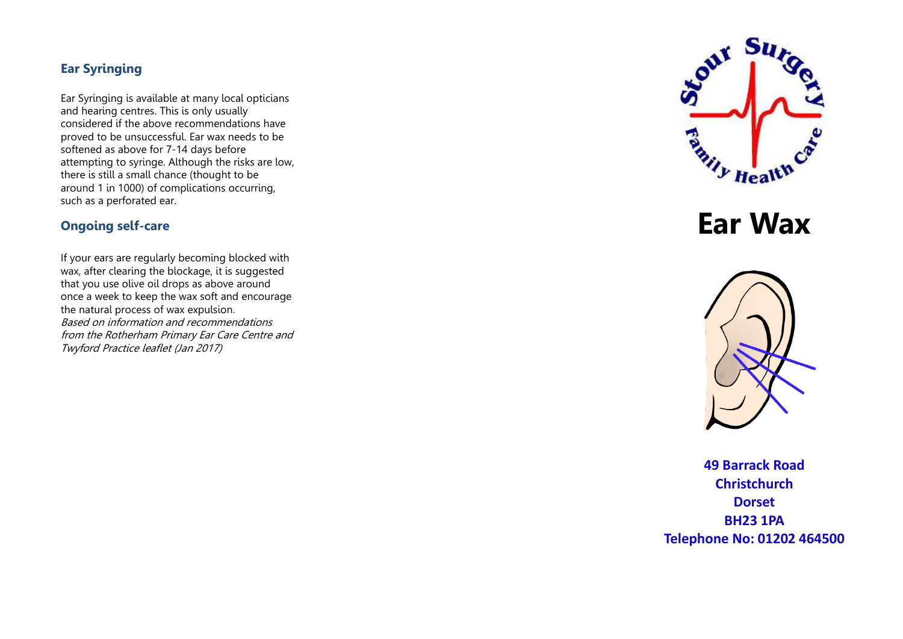# **Ear Syringing**

Ear Syringing is available at many local opticians and hearing centres. This is only usually considered if the above recommendations have proved to be unsuccessful. Ear wax needs to be softened as above for 7-14 days before attempting to syringe. Although the risks are low, there is still a small chance (thought to be around 1 in 1000) of complications occurring, such as a perforated ear.

# **Ongoing self-care**

If your ears are regularly becoming blocked with wax, after clearing the blockage, it is suggested that you use olive oil drops as above around once a week to keep the wax soft and encourage the natural process of wax expulsion. Based on information and recommendations from the Rotherham Primary Ear Care Centre and Twyford Practice leaflet (Jan 2017)



**Ear Wax** 



**49 Barrack Road Christchurch Dorset BH23 1PA Telephone No: 01202 464500**